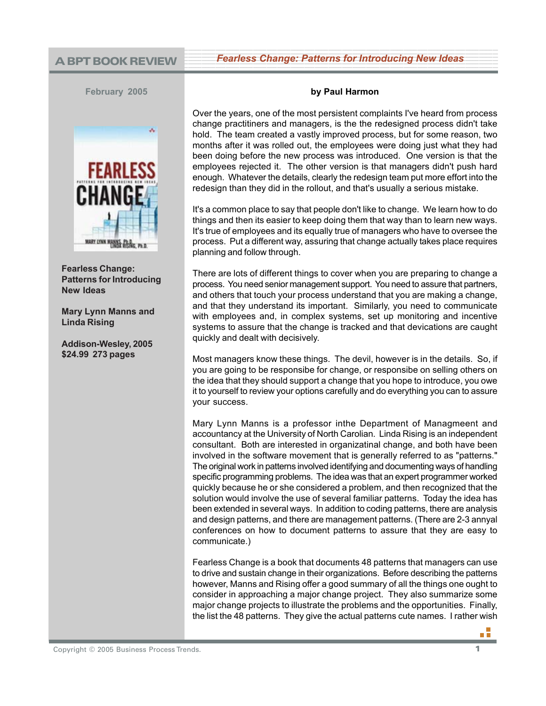**A BPT BOOK REVIEW Fearless Change: Patterns for Introducing New Ideas** 123456789012345678901234567890121234567890123456789012345678901212345678901234567890123456789 123456789012345678901234567890121234567890123456789012345678901212345678901234567890123456789 123456789012345678901234567890121234567890123456789012345678901212345678901234567890123456789

**February 2005**



**Fearless Change: Patterns for Introducing New Ideas**

**Mary Lynn Manns and Linda Rising**

**Addison-Wesley, 2005 \$24.99 273 pages**

## **by Paul Harmon**

Over the years, one of the most persistent complaints I've heard from process change practitiners and managers, is the the redesigned process didn't take hold. The team created a vastly improved process, but for some reason, two months after it was rolled out, the employees were doing just what they had been doing before the new process was introduced. One version is that the employees rejected it. The other version is that managers didn't push hard enough. Whatever the details, clearly the redesign team put more effort into the redesign than they did in the rollout, and that's usually a serious mistake.

It's a common place to say that people don't like to change. We learn how to do things and then its easier to keep doing them that way than to learn new ways. It's true of employees and its equally true of managers who have to oversee the process. Put a different way, assuring that change actually takes place requires planning and follow through.

There are lots of different things to cover when you are preparing to change a process. You need senior management support. You need to assure that partners, and others that touch your process understand that you are making a change, and that they understand its important. Similarly, you need to communicate with employees and, in complex systems, set up monitoring and incentive systems to assure that the change is tracked and that devications are caught quickly and dealt with decisively.

Most managers know these things. The devil, however is in the details. So, if you are going to be responsibe for change, or responsibe on selling others on the idea that they should support a change that you hope to introduce, you owe it to yourself to review your options carefully and do everything you can to assure your success.

Mary Lynn Manns is a professor inthe Department of Managmeent and accountancy at the University of North Carolian. Linda Rising is an independent consultant. Both are interested in organizatinal change, and both have been involved in the software movement that is generally referred to as "patterns." The original work in patterns involved identifying and documenting ways of handling specific programming problems. The idea was that an expert programmer worked quickly because he or she considered a problem, and then recognized that the solution would involve the use of several familiar patterns. Today the idea has been extended in several ways. In addition to coding patterns, there are analysis and design patterns, and there are management patterns. (There are 2-3 annyal conferences on how to document patterns to assure that they are easy to communicate.)

Fearless Change is a book that documents 48 patterns that managers can use to drive and sustain change in their organizations. Before describing the patterns however, Manns and Rising offer a good summary of all the things one ought to consider in approaching a major change project. They also summarize some major change projects to illustrate the problems and the opportunities. Finally, the list the 48 patterns. They give the actual patterns cute names. I rather wish